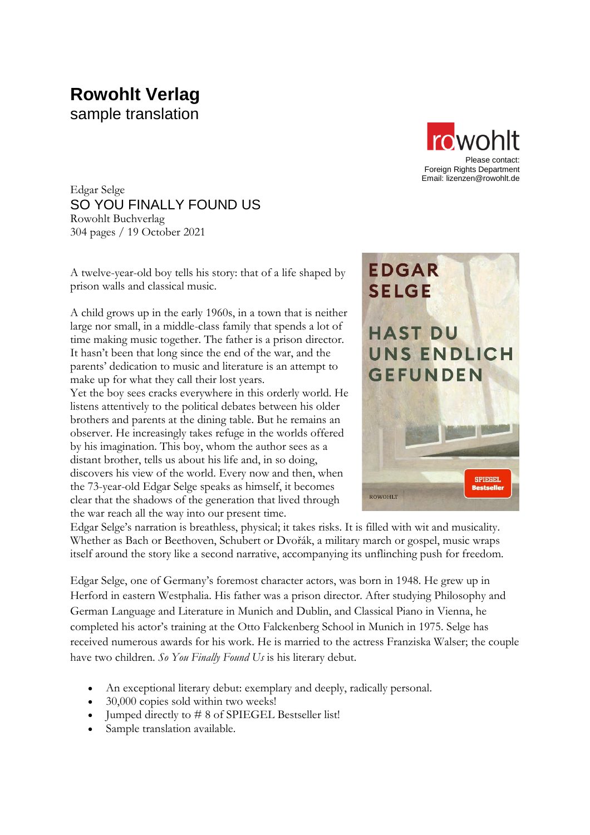# **Rowohlt Verlag** sample translation



Edgar Selge SO YOU FINALLY FOUND US Rowohlt Buchverlag 304 pages / 19 October 2021

A twelve-year-old boy tells his story: that of a life shaped by prison walls and classical music.

A child grows up in the early 1960s, in a town that is neither large nor small, in a middle-class family that spends a lot of time making music together. The father is a prison director. It hasn't been that long since the end of the war, and the parents' dedication to music and literature is an attempt to make up for what they call their lost years.

Yet the boy sees cracks everywhere in this orderly world. He listens attentively to the political debates between his older brothers and parents at the dining table. But he remains an observer. He increasingly takes refuge in the worlds offered by his imagination. This boy, whom the author sees as a distant brother, tells us about his life and, in so doing, discovers his view of the world. Every now and then, when the 73-year-old Edgar Selge speaks as himself, it becomes clear that the shadows of the generation that lived through the war reach all the way into our present time.



Edgar Selge's narration is breathless, physical; it takes risks. It is filled with wit and musicality. Whether as Bach or Beethoven, Schubert or Dvořák, a military march or gospel, music wraps itself around the story like a second narrative, accompanying its unflinching push for freedom.

Edgar Selge, one of Germany's foremost character actors, was born in 1948. He grew up in Herford in eastern Westphalia. His father was a prison director. After studying Philosophy and German Language and Literature in Munich and Dublin, and Classical Piano in Vienna, he completed his actor's training at the Otto Falckenberg School in Munich in 1975. Selge has received numerous awards for his work. He is married to the actress Franziska Walser; the couple have two children. *So You Finally Found Us* is his literary debut.

- An exceptional literary debut: exemplary and deeply, radically personal.
- 30,000 copies sold within two weeks!
- Jumped directly to #8 of SPIEGEL Bestseller list!
- Sample translation available.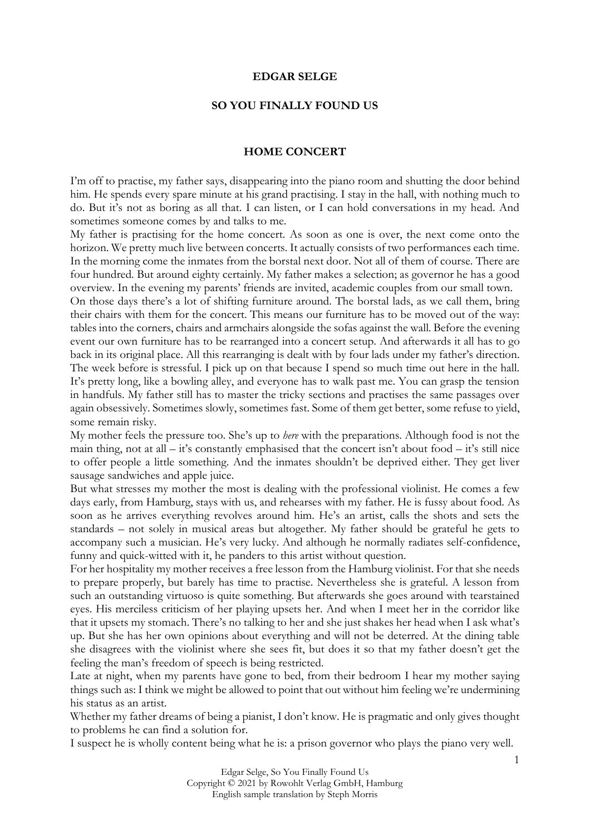#### **EDGAR SELGE**

### **SO YOU FINALLY FOUND US**

#### **HOME CONCERT**

I'm off to practise, my father says, disappearing into the piano room and shutting the door behind him. He spends every spare minute at his grand practising. I stay in the hall, with nothing much to do. But it's not as boring as all that. I can listen, or I can hold conversations in my head. And sometimes someone comes by and talks to me.

My father is practising for the home concert. As soon as one is over, the next come onto the horizon. We pretty much live between concerts. It actually consists of two performances each time. In the morning come the inmates from the borstal next door. Not all of them of course. There are four hundred. But around eighty certainly. My father makes a selection; as governor he has a good overview. In the evening my parents' friends are invited, academic couples from our small town.

On those days there's a lot of shifting furniture around. The borstal lads, as we call them, bring their chairs with them for the concert. This means our furniture has to be moved out of the way: tables into the corners, chairs and armchairs alongside the sofas against the wall. Before the evening event our own furniture has to be rearranged into a concert setup. And afterwards it all has to go back in its original place. All this rearranging is dealt with by four lads under my father's direction. The week before is stressful. I pick up on that because I spend so much time out here in the hall. It's pretty long, like a bowling alley, and everyone has to walk past me. You can grasp the tension in handfuls. My father still has to master the tricky sections and practises the same passages over again obsessively. Sometimes slowly, sometimes fast. Some of them get better, some refuse to yield, some remain risky.

My mother feels the pressure too. She's up to *here* with the preparations. Although food is not the main thing, not at all – it's constantly emphasised that the concert isn't about food – it's still nice to offer people a little something. And the inmates shouldn't be deprived either. They get liver sausage sandwiches and apple juice.

But what stresses my mother the most is dealing with the professional violinist. He comes a few days early, from Hamburg, stays with us, and rehearses with my father. He is fussy about food. As soon as he arrives everything revolves around him. He's an artist, calls the shots and sets the standards – not solely in musical areas but altogether. My father should be grateful he gets to accompany such a musician. He's very lucky. And although he normally radiates self-confidence, funny and quick-witted with it, he panders to this artist without question.

For her hospitality my mother receives a free lesson from the Hamburg violinist. For that she needs to prepare properly, but barely has time to practise. Nevertheless she is grateful. A lesson from such an outstanding virtuoso is quite something. But afterwards she goes around with tearstained eyes. His merciless criticism of her playing upsets her. And when I meet her in the corridor like that it upsets my stomach. There's no talking to her and she just shakes her head when I ask what's up. But she has her own opinions about everything and will not be deterred. At the dining table she disagrees with the violinist where she sees fit, but does it so that my father doesn't get the feeling the man's freedom of speech is being restricted.

Late at night, when my parents have gone to bed, from their bedroom I hear my mother saying things such as: I think we might be allowed to point that out without him feeling we're undermining his status as an artist.

Whether my father dreams of being a pianist, I don't know. He is pragmatic and only gives thought to problems he can find a solution for.

I suspect he is wholly content being what he is: a prison governor who plays the piano very well.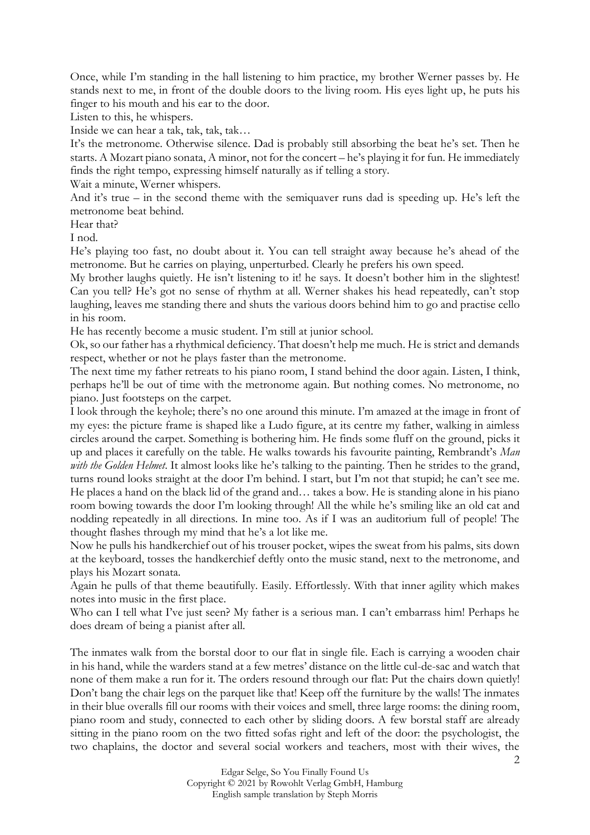Once, while I'm standing in the hall listening to him practice, my brother Werner passes by. He stands next to me, in front of the double doors to the living room. His eyes light up, he puts his finger to his mouth and his ear to the door.

Listen to this, he whispers.

Inside we can hear a tak, tak, tak, tak…

It's the metronome. Otherwise silence. Dad is probably still absorbing the beat he's set. Then he starts. A Mozart piano sonata, A minor, not for the concert – he's playing it for fun. He immediately finds the right tempo, expressing himself naturally as if telling a story.

Wait a minute, Werner whispers.

And it's true – in the second theme with the semiquaver runs dad is speeding up. He's left the metronome beat behind.

Hear that?

I nod.

He's playing too fast, no doubt about it. You can tell straight away because he's ahead of the metronome. But he carries on playing, unperturbed. Clearly he prefers his own speed.

My brother laughs quietly. He isn't listening to it! he says. It doesn't bother him in the slightest! Can you tell? He's got no sense of rhythm at all. Werner shakes his head repeatedly, can't stop laughing, leaves me standing there and shuts the various doors behind him to go and practise cello in his room.

He has recently become a music student. I'm still at junior school.

Ok, so our father has a rhythmical deficiency. That doesn't help me much. He is strict and demands respect, whether or not he plays faster than the metronome.

The next time my father retreats to his piano room, I stand behind the door again. Listen, I think, perhaps he'll be out of time with the metronome again. But nothing comes. No metronome, no piano. Just footsteps on the carpet.

I look through the keyhole; there's no one around this minute. I'm amazed at the image in front of my eyes: the picture frame is shaped like a Ludo figure, at its centre my father, walking in aimless circles around the carpet. Something is bothering him. He finds some fluff on the ground, picks it up and places it carefully on the table. He walks towards his favourite painting, Rembrandt's *Man with the Golden Helmet*. It almost looks like he's talking to the painting. Then he strides to the grand, turns round looks straight at the door I'm behind. I start, but I'm not that stupid; he can't see me. He places a hand on the black lid of the grand and… takes a bow. He is standing alone in his piano room bowing towards the door I'm looking through! All the while he's smiling like an old cat and nodding repeatedly in all directions. In mine too. As if I was an auditorium full of people! The thought flashes through my mind that he's a lot like me.

Now he pulls his handkerchief out of his trouser pocket, wipes the sweat from his palms, sits down at the keyboard, tosses the handkerchief deftly onto the music stand, next to the metronome, and plays his Mozart sonata.

Again he pulls of that theme beautifully. Easily. Effortlessly. With that inner agility which makes notes into music in the first place.

Who can I tell what I've just seen? My father is a serious man. I can't embarrass him! Perhaps he does dream of being a pianist after all.

The inmates walk from the borstal door to our flat in single file. Each is carrying a wooden chair in his hand, while the warders stand at a few metres' distance on the little cul-de-sac and watch that none of them make a run for it. The orders resound through our flat: Put the chairs down quietly! Don't bang the chair legs on the parquet like that! Keep off the furniture by the walls! The inmates in their blue overalls fill our rooms with their voices and smell, three large rooms: the dining room, piano room and study, connected to each other by sliding doors. A few borstal staff are already sitting in the piano room on the two fitted sofas right and left of the door: the psychologist, the two chaplains, the doctor and several social workers and teachers, most with their wives, the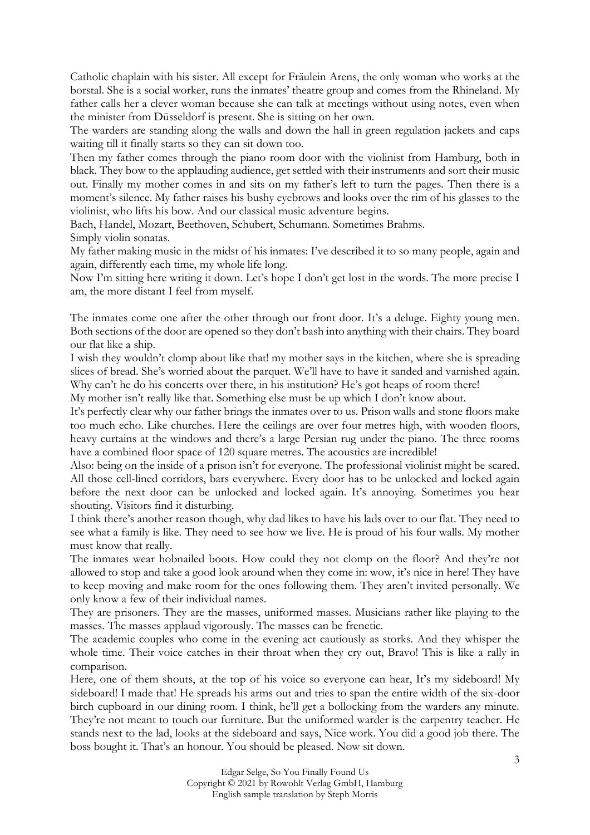Catholic chaplain with his sister. All except for Fräulein Arens, the only woman who works at the borstal. She is a social worker, runs the inmates' theatre group and comes from the Rhineland. My father calls her a clever woman because she can talk at meetings without using notes, even when the minister from Düsseldorf is present. She is sitting on her own.

The warders are standing along the walls and down the hall in green regulation jackets and caps waiting till it finally starts so they can sit down too.

Then my father comes through the piano room door with the violinist from Hamburg, both in black. They bow to the applauding audience, get settled with their instruments and sort their music out. Finally my mother comes in and sits on my father's left to turn the pages. Then there is a moment's silence. My father raises his bushy eyebrows and looks over the rim of his glasses to the violinist, who lifts his bow. And our classical music adventure begins.

Bach, Handel, Mozart, Beethoven, Schubert, Schumann. Sometimes Brahms. Simply violin sonatas.

My father making music in the midst of his inmates: I've described it to so many people, again and again, differently each time, my whole life long.

Now I'm sitting here writing it down. Let's hope I don't get lost in the words. The more precise I am, the more distant I feel from myself.

The inmates come one after the other through our front door. It's a deluge. Eighty young men. Both sections of the door are opened so they don't bash into anything with their chairs. They board our flat like a ship.

I wish they wouldn't clomp about like that! my mother says in the kitchen, where she is spreading slices of bread. She's worried about the parquet. We'll have to have it sanded and varnished again. Why can't he do his concerts over there, in his institution? He's got heaps of room there!

My mother isn't really like that. Something else must be up which I don't know about.

It's perfectly clear why our father brings the inmates over to us. Prison walls and stone floors make too much echo. Like churches. Here the ceilings are over four metres high, with wooden floors, heavy curtains at the windows and there's a large Persian rug under the piano. The three rooms have a combined floor space of 120 square metres. The acoustics are incredible!

Also: being on the inside of a prison isn't for everyone. The professional violinist might be scared. All those cell-lined corridors, bars everywhere. Every door has to be unlocked and locked again before the next door can be unlocked and locked again. It's annoying. Sometimes you hear shouting. Visitors find it disturbing.

I think there's another reason though, why dad likes to have his lads over to our flat. They need to see what a family is like. They need to see how we live. He is proud of his four walls. My mother must know that really.

The inmates wear hobnailed boots. How could they not clomp on the floor? And they're not allowed to stop and take a good look around when they come in: wow, it's nice in here! They have to keep moving and make room for the ones following them. They aren't invited personally. We only know a few of their individual names.

They are prisoners. They are the masses, uniformed masses. Musicians rather like playing to the masses. The masses applaud vigorously. The masses can be frenetic.

The academic couples who come in the evening act cautiously as storks. And they whisper the whole time. Their voice catches in their throat when they cry out, Bravo! This is like a rally in comparison.

Here, one of them shouts, at the top of his voice so everyone can hear, It's my sideboard! My sideboard! I made that! He spreads his arms out and tries to span the entire width of the six-door birch cupboard in our dining room. I think, he'll get a bollocking from the warders any minute. They're not meant to touch our furniture. But the uniformed warder is the carpentry teacher. He stands next to the lad, looks at the sideboard and says, Nice work. You did a good job there. The boss bought it. That's an honour. You should be pleased. Now sit down.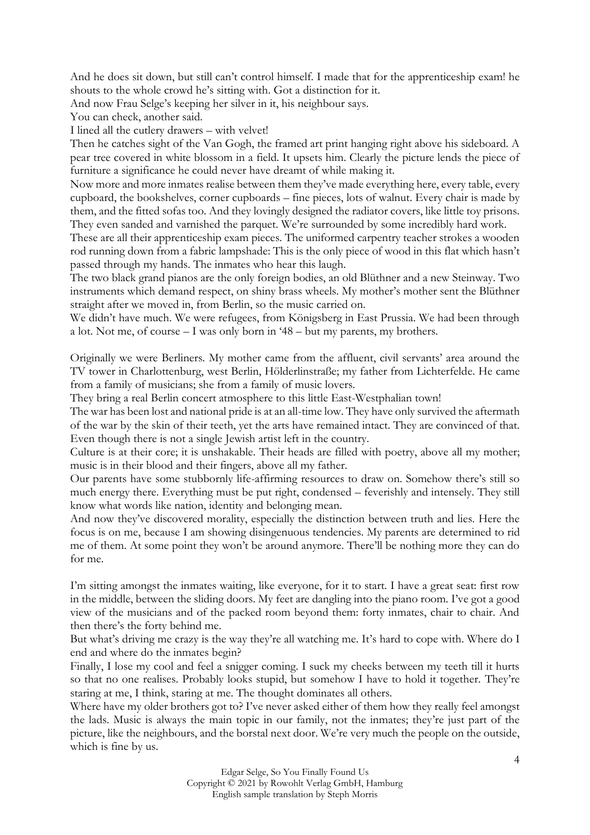And he does sit down, but still can't control himself. I made that for the apprenticeship exam! he shouts to the whole crowd he's sitting with. Got a distinction for it.

And now Frau Selge's keeping her silver in it, his neighbour says.

You can check, another said.

I lined all the cutlery drawers – with velvet!

Then he catches sight of the Van Gogh, the framed art print hanging right above his sideboard. A pear tree covered in white blossom in a field. It upsets him. Clearly the picture lends the piece of furniture a significance he could never have dreamt of while making it.

Now more and more inmates realise between them they've made everything here, every table, every cupboard, the bookshelves, corner cupboards – fine pieces, lots of walnut. Every chair is made by them, and the fitted sofas too. And they lovingly designed the radiator covers, like little toy prisons. They even sanded and varnished the parquet. We're surrounded by some incredibly hard work.

These are all their apprenticeship exam pieces. The uniformed carpentry teacher strokes a wooden rod running down from a fabric lampshade: This is the only piece of wood in this flat which hasn't passed through my hands. The inmates who hear this laugh.

The two black grand pianos are the only foreign bodies, an old Blüthner and a new Steinway. Two instruments which demand respect, on shiny brass wheels. My mother's mother sent the Blüthner straight after we moved in, from Berlin, so the music carried on.

We didn't have much. We were refugees, from Königsberg in East Prussia. We had been through a lot. Not me, of course – I was only born in '48 – but my parents, my brothers.

Originally we were Berliners. My mother came from the affluent, civil servants' area around the TV tower in Charlottenburg, west Berlin, Hölderlinstraße; my father from Lichterfelde. He came from a family of musicians; she from a family of music lovers.

They bring a real Berlin concert atmosphere to this little East-Westphalian town!

The war has been lost and national pride is at an all-time low. They have only survived the aftermath of the war by the skin of their teeth, yet the arts have remained intact. They are convinced of that. Even though there is not a single Jewish artist left in the country.

Culture is at their core; it is unshakable. Their heads are filled with poetry, above all my mother; music is in their blood and their fingers, above all my father.

Our parents have some stubbornly life-affirming resources to draw on. Somehow there's still so much energy there. Everything must be put right, condensed – feverishly and intensely. They still know what words like nation, identity and belonging mean.

And now they've discovered morality, especially the distinction between truth and lies. Here the focus is on me, because I am showing disingenuous tendencies. My parents are determined to rid me of them. At some point they won't be around anymore. There'll be nothing more they can do for me.

I'm sitting amongst the inmates waiting, like everyone, for it to start. I have a great seat: first row in the middle, between the sliding doors. My feet are dangling into the piano room. I've got a good view of the musicians and of the packed room beyond them: forty inmates, chair to chair. And then there's the forty behind me.

But what's driving me crazy is the way they're all watching me. It's hard to cope with. Where do I end and where do the inmates begin?

Finally, I lose my cool and feel a snigger coming. I suck my cheeks between my teeth till it hurts so that no one realises. Probably looks stupid, but somehow I have to hold it together. They're staring at me, I think, staring at me. The thought dominates all others.

Where have my older brothers got to? I've never asked either of them how they really feel amongst the lads. Music is always the main topic in our family, not the inmates; they're just part of the picture, like the neighbours, and the borstal next door. We're very much the people on the outside, which is fine by us.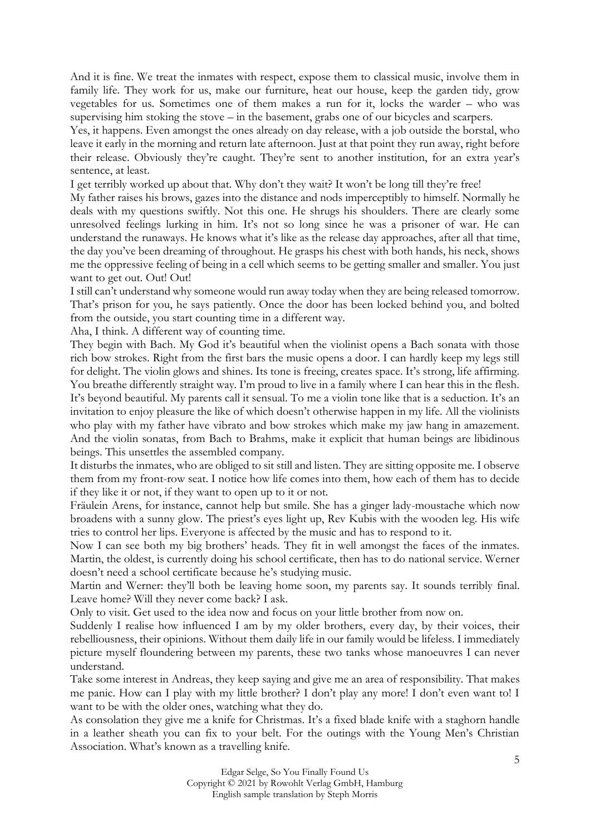And it is fine. We treat the inmates with respect, expose them to classical music, involve them in family life. They work for us, make our furniture, heat our house, keep the garden tidy, grow vegetables for us. Sometimes one of them makes a run for it, locks the warder – who was supervising him stoking the stove – in the basement, grabs one of our bicycles and scarpers.

Yes, it happens. Even amongst the ones already on day release, with a job outside the borstal, who leave it early in the morning and return late afternoon. Just at that point they run away, right before their release. Obviously they're caught. They're sent to another institution, for an extra year's sentence, at least.

I get terribly worked up about that. Why don't they wait? It won't be long till they're free!

My father raises his brows, gazes into the distance and nods imperceptibly to himself. Normally he deals with my questions swiftly. Not this one. He shrugs his shoulders. There are clearly some unresolved feelings lurking in him. It's not so long since he was a prisoner of war. He can understand the runaways. He knows what it's like as the release day approaches, after all that time, the day you've been dreaming of throughout. He grasps his chest with both hands, his neck, shows me the oppressive feeling of being in a cell which seems to be getting smaller and smaller. You just want to get out. Out! Out!

I still can't understand why someone would run away today when they are being released tomorrow. That's prison for you, he says patiently. Once the door has been locked behind you, and bolted from the outside, you start counting time in a different way.

Aha, I think. A different way of counting time.

They begin with Bach. My God it's beautiful when the violinist opens a Bach sonata with those rich bow strokes. Right from the first bars the music opens a door. I can hardly keep my legs still for delight. The violin glows and shines. Its tone is freeing, creates space. It's strong, life affirming. You breathe differently straight way. I'm proud to live in a family where I can hear this in the flesh. It's beyond beautiful. My parents call it sensual. To me a violin tone like that is a seduction. It's an invitation to enjoy pleasure the like of which doesn't otherwise happen in my life. All the violinists who play with my father have vibrato and bow strokes which make my jaw hang in amazement. And the violin sonatas, from Bach to Brahms, make it explicit that human beings are libidinous beings. This unsettles the assembled company.

It disturbs the inmates, who are obliged to sit still and listen. They are sitting opposite me. I observe them from my front-row seat. I notice how life comes into them, how each of them has to decide if they like it or not, if they want to open up to it or not.

Fräulein Arens, for instance, cannot help but smile. She has a ginger lady-moustache which now broadens with a sunny glow. The priest's eyes light up, Rev Kubis with the wooden leg. His wife tries to control her lips. Everyone is affected by the music and has to respond to it.

Now I can see both my big brothers' heads. They fit in well amongst the faces of the inmates. Martin, the oldest, is currently doing his school certificate, then has to do national service. Werner doesn't need a school certificate because he's studying music.

Martin and Werner: they'll both be leaving home soon, my parents say. It sounds terribly final. Leave home? Will they never come back? I ask.

Only to visit. Get used to the idea now and focus on your little brother from now on.

Suddenly I realise how influenced I am by my older brothers, every day, by their voices, their rebelliousness, their opinions. Without them daily life in our family would be lifeless. I immediately picture myself floundering between my parents, these two tanks whose manoeuvres I can never understand.

Take some interest in Andreas, they keep saying and give me an area of responsibility. That makes me panic. How can I play with my little brother? I don't play any more! I don't even want to! I want to be with the older ones, watching what they do.

As consolation they give me a knife for Christmas. It's a fixed blade knife with a staghorn handle in a leather sheath you can fix to your belt. For the outings with the Young Men's Christian Association. What's known as a travelling knife.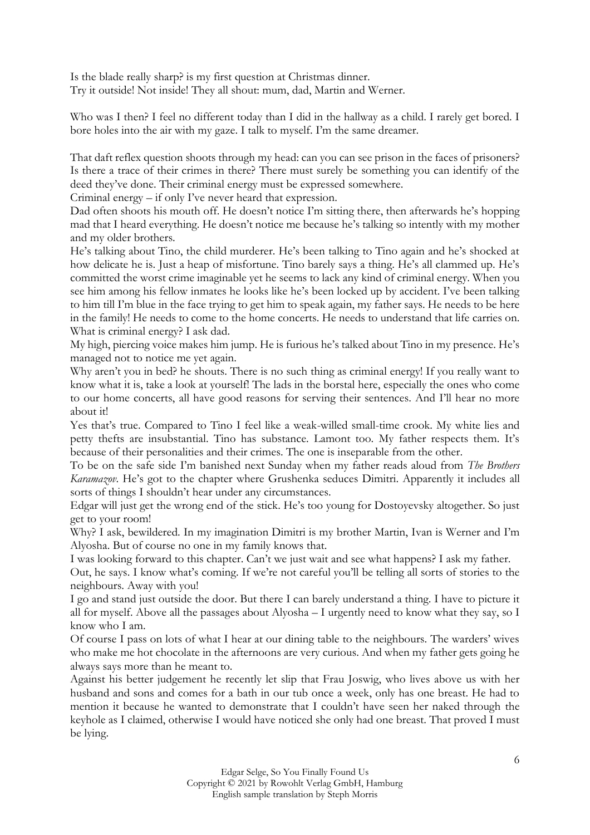Is the blade really sharp? is my first question at Christmas dinner. Try it outside! Not inside! They all shout: mum, dad, Martin and Werner.

Who was I then? I feel no different today than I did in the hallway as a child. I rarely get bored. I bore holes into the air with my gaze. I talk to myself. I'm the same dreamer.

That daft reflex question shoots through my head: can you can see prison in the faces of prisoners? Is there a trace of their crimes in there? There must surely be something you can identify of the deed they've done. Their criminal energy must be expressed somewhere.

Criminal energy – if only I've never heard that expression.

Dad often shoots his mouth off. He doesn't notice I'm sitting there, then afterwards he's hopping mad that I heard everything. He doesn't notice me because he's talking so intently with my mother and my older brothers.

He's talking about Tino, the child murderer. He's been talking to Tino again and he's shocked at how delicate he is. Just a heap of misfortune. Tino barely says a thing. He's all clammed up. He's committed the worst crime imaginable yet he seems to lack any kind of criminal energy. When you see him among his fellow inmates he looks like he's been locked up by accident. I've been talking to him till I'm blue in the face trying to get him to speak again, my father says. He needs to be here in the family! He needs to come to the home concerts. He needs to understand that life carries on. What is criminal energy? I ask dad.

My high, piercing voice makes him jump. He is furious he's talked about Tino in my presence. He's managed not to notice me yet again.

Why aren't you in bed? he shouts. There is no such thing as criminal energy! If you really want to know what it is, take a look at yourself! The lads in the borstal here, especially the ones who come to our home concerts, all have good reasons for serving their sentences. And I'll hear no more about it!

Yes that's true. Compared to Tino I feel like a weak-willed small-time crook. My white lies and petty thefts are insubstantial. Tino has substance. Lamont too. My father respects them. It's because of their personalities and their crimes. The one is inseparable from the other.

To be on the safe side I'm banished next Sunday when my father reads aloud from *The Brothers Karamazov*. He's got to the chapter where Grushenka seduces Dimitri. Apparently it includes all sorts of things I shouldn't hear under any circumstances.

Edgar will just get the wrong end of the stick. He's too young for Dostoyevsky altogether. So just get to your room!

Why? I ask, bewildered. In my imagination Dimitri is my brother Martin, Ivan is Werner and I'm Alyosha. But of course no one in my family knows that.

I was looking forward to this chapter. Can't we just wait and see what happens? I ask my father.

Out, he says. I know what's coming. If we're not careful you'll be telling all sorts of stories to the neighbours. Away with you!

I go and stand just outside the door. But there I can barely understand a thing. I have to picture it all for myself. Above all the passages about Alyosha – I urgently need to know what they say, so I know who I am.

Of course I pass on lots of what I hear at our dining table to the neighbours. The warders' wives who make me hot chocolate in the afternoons are very curious. And when my father gets going he always says more than he meant to.

Against his better judgement he recently let slip that Frau Joswig, who lives above us with her husband and sons and comes for a bath in our tub once a week, only has one breast. He had to mention it because he wanted to demonstrate that I couldn't have seen her naked through the keyhole as I claimed, otherwise I would have noticed she only had one breast. That proved I must be lying.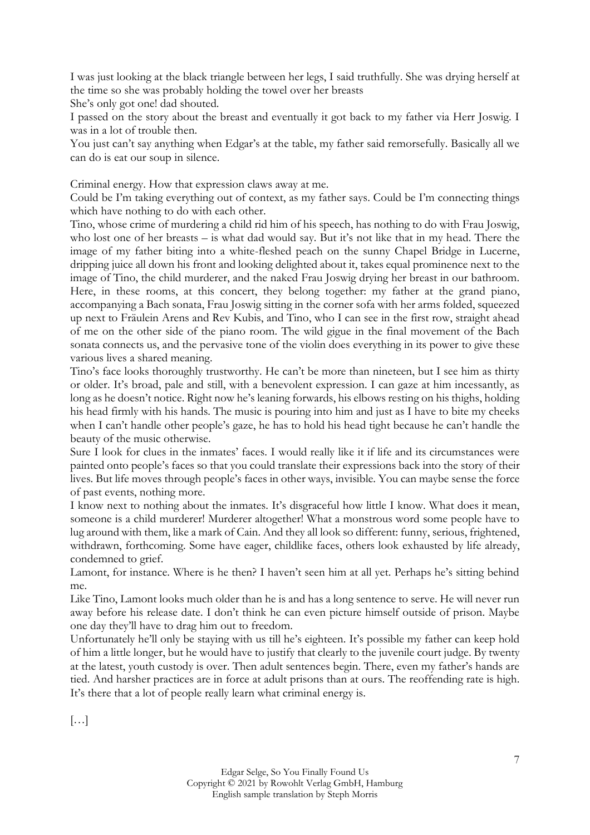I was just looking at the black triangle between her legs, I said truthfully. She was drying herself at the time so she was probably holding the towel over her breasts

She's only got one! dad shouted.

I passed on the story about the breast and eventually it got back to my father via Herr Joswig. I was in a lot of trouble then.

You just can't say anything when Edgar's at the table, my father said remorsefully. Basically all we can do is eat our soup in silence.

Criminal energy. How that expression claws away at me.

Could be I'm taking everything out of context, as my father says. Could be I'm connecting things which have nothing to do with each other.

Tino, whose crime of murdering a child rid him of his speech, has nothing to do with Frau Joswig, who lost one of her breasts – is what dad would say. But it's not like that in my head. There the image of my father biting into a white-fleshed peach on the sunny Chapel Bridge in Lucerne, dripping juice all down his front and looking delighted about it, takes equal prominence next to the image of Tino, the child murderer, and the naked Frau Joswig drying her breast in our bathroom. Here, in these rooms, at this concert, they belong together: my father at the grand piano, accompanying a Bach sonata, Frau Joswig sitting in the corner sofa with her arms folded, squeezed up next to Fräulein Arens and Rev Kubis, and Tino, who I can see in the first row, straight ahead of me on the other side of the piano room. The wild gigue in the final movement of the Bach sonata connects us, and the pervasive tone of the violin does everything in its power to give these various lives a shared meaning.

Tino's face looks thoroughly trustworthy. He can't be more than nineteen, but I see him as thirty or older. It's broad, pale and still, with a benevolent expression. I can gaze at him incessantly, as long as he doesn't notice. Right now he's leaning forwards, his elbows resting on his thighs, holding his head firmly with his hands. The music is pouring into him and just as I have to bite my cheeks when I can't handle other people's gaze, he has to hold his head tight because he can't handle the beauty of the music otherwise.

Sure I look for clues in the inmates' faces. I would really like it if life and its circumstances were painted onto people's faces so that you could translate their expressions back into the story of their lives. But life moves through people's faces in other ways, invisible. You can maybe sense the force of past events, nothing more.

I know next to nothing about the inmates. It's disgraceful how little I know. What does it mean, someone is a child murderer! Murderer altogether! What a monstrous word some people have to lug around with them, like a mark of Cain. And they all look so different: funny, serious, frightened, withdrawn, forthcoming. Some have eager, childlike faces, others look exhausted by life already, condemned to grief.

Lamont, for instance. Where is he then? I haven't seen him at all yet. Perhaps he's sitting behind me.

Like Tino, Lamont looks much older than he is and has a long sentence to serve. He will never run away before his release date. I don't think he can even picture himself outside of prison. Maybe one day they'll have to drag him out to freedom.

Unfortunately he'll only be staying with us till he's eighteen. It's possible my father can keep hold of him a little longer, but he would have to justify that clearly to the juvenile court judge. By twenty at the latest, youth custody is over. Then adult sentences begin. There, even my father's hands are tied. And harsher practices are in force at adult prisons than at ours. The reoffending rate is high. It's there that a lot of people really learn what criminal energy is.

 $\left[\ldots\right]$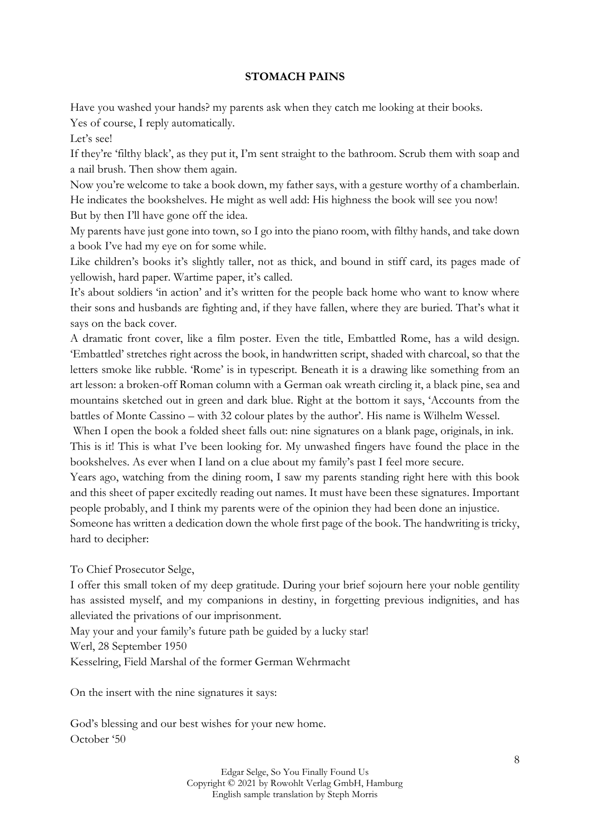## **STOMACH PAINS**

Have you washed your hands? my parents ask when they catch me looking at their books. Yes of course, I reply automatically.

Let's see!

If they're 'filthy black', as they put it, I'm sent straight to the bathroom. Scrub them with soap and a nail brush. Then show them again.

Now you're welcome to take a book down, my father says, with a gesture worthy of a chamberlain. He indicates the bookshelves. He might as well add: His highness the book will see you now! But by then I'll have gone off the idea.

My parents have just gone into town, so I go into the piano room, with filthy hands, and take down a book I've had my eye on for some while.

Like children's books it's slightly taller, not as thick, and bound in stiff card, its pages made of yellowish, hard paper. Wartime paper, it's called.

It's about soldiers 'in action' and it's written for the people back home who want to know where their sons and husbands are fighting and, if they have fallen, where they are buried. That's what it says on the back cover.

A dramatic front cover, like a film poster. Even the title, Embattled Rome, has a wild design. 'Embattled' stretches right across the book, in handwritten script, shaded with charcoal, so that the letters smoke like rubble. 'Rome' is in typescript. Beneath it is a drawing like something from an art lesson: a broken-off Roman column with a German oak wreath circling it, a black pine, sea and mountains sketched out in green and dark blue. Right at the bottom it says, 'Accounts from the battles of Monte Cassino – with 32 colour plates by the author'. His name is Wilhelm Wessel.

When I open the book a folded sheet falls out: nine signatures on a blank page, originals, in ink. This is it! This is what I've been looking for. My unwashed fingers have found the place in the bookshelves. As ever when I land on a clue about my family's past I feel more secure.

Years ago, watching from the dining room, I saw my parents standing right here with this book and this sheet of paper excitedly reading out names. It must have been these signatures. Important people probably, and I think my parents were of the opinion they had been done an injustice. Someone has written a dedication down the whole first page of the book. The handwriting is tricky, hard to decipher:

To Chief Prosecutor Selge,

I offer this small token of my deep gratitude. During your brief sojourn here your noble gentility has assisted myself, and my companions in destiny, in forgetting previous indignities, and has alleviated the privations of our imprisonment.

May your and your family's future path be guided by a lucky star!

Werl, 28 September 1950

Kesselring, Field Marshal of the former German Wehrmacht

On the insert with the nine signatures it says:

God's blessing and our best wishes for your new home. October '50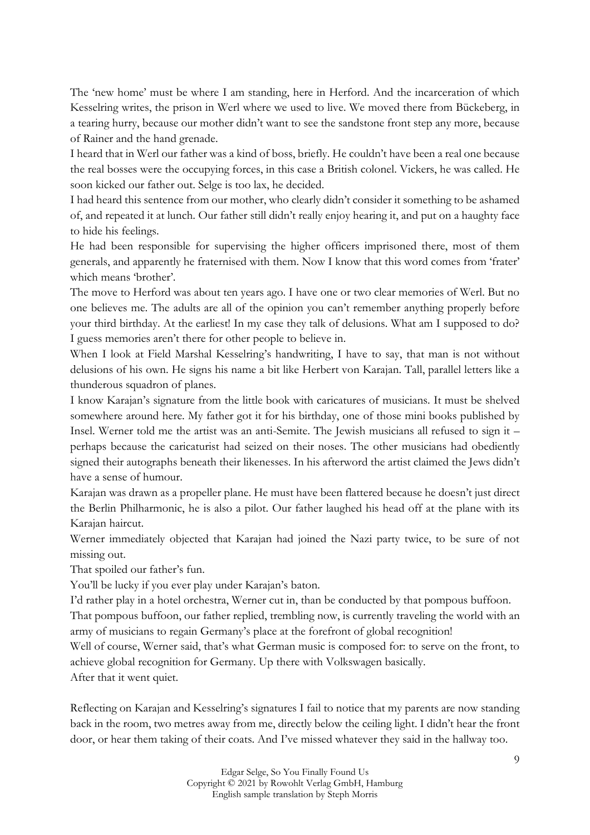The 'new home' must be where I am standing, here in Herford. And the incarceration of which Kesselring writes, the prison in Werl where we used to live. We moved there from Bückeberg, in a tearing hurry, because our mother didn't want to see the sandstone front step any more, because of Rainer and the hand grenade.

I heard that in Werl our father was a kind of boss, briefly. He couldn't have been a real one because the real bosses were the occupying forces, in this case a British colonel. Vickers, he was called. He soon kicked our father out. Selge is too lax, he decided.

I had heard this sentence from our mother, who clearly didn't consider it something to be ashamed of, and repeated it at lunch. Our father still didn't really enjoy hearing it, and put on a haughty face to hide his feelings.

He had been responsible for supervising the higher officers imprisoned there, most of them generals, and apparently he fraternised with them. Now I know that this word comes from 'frater' which means 'brother'.

The move to Herford was about ten years ago. I have one or two clear memories of Werl. But no one believes me. The adults are all of the opinion you can't remember anything properly before your third birthday. At the earliest! In my case they talk of delusions. What am I supposed to do? I guess memories aren't there for other people to believe in.

When I look at Field Marshal Kesselring's handwriting, I have to say, that man is not without delusions of his own. He signs his name a bit like Herbert von Karajan. Tall, parallel letters like a thunderous squadron of planes.

I know Karajan's signature from the little book with caricatures of musicians. It must be shelved somewhere around here. My father got it for his birthday, one of those mini books published by Insel. Werner told me the artist was an anti-Semite. The Jewish musicians all refused to sign it – perhaps because the caricaturist had seized on their noses. The other musicians had obediently signed their autographs beneath their likenesses. In his afterword the artist claimed the Jews didn't have a sense of humour.

Karajan was drawn as a propeller plane. He must have been flattered because he doesn't just direct the Berlin Philharmonic, he is also a pilot. Our father laughed his head off at the plane with its Karajan haircut.

Werner immediately objected that Karajan had joined the Nazi party twice, to be sure of not missing out.

That spoiled our father's fun.

You'll be lucky if you ever play under Karajan's baton.

I'd rather play in a hotel orchestra, Werner cut in, than be conducted by that pompous buffoon.

That pompous buffoon, our father replied, trembling now, is currently traveling the world with an army of musicians to regain Germany's place at the forefront of global recognition!

Well of course, Werner said, that's what German music is composed for: to serve on the front, to achieve global recognition for Germany. Up there with Volkswagen basically.

After that it went quiet.

Reflecting on Karajan and Kesselring's signatures I fail to notice that my parents are now standing back in the room, two metres away from me, directly below the ceiling light. I didn't hear the front door, or hear them taking of their coats. And I've missed whatever they said in the hallway too.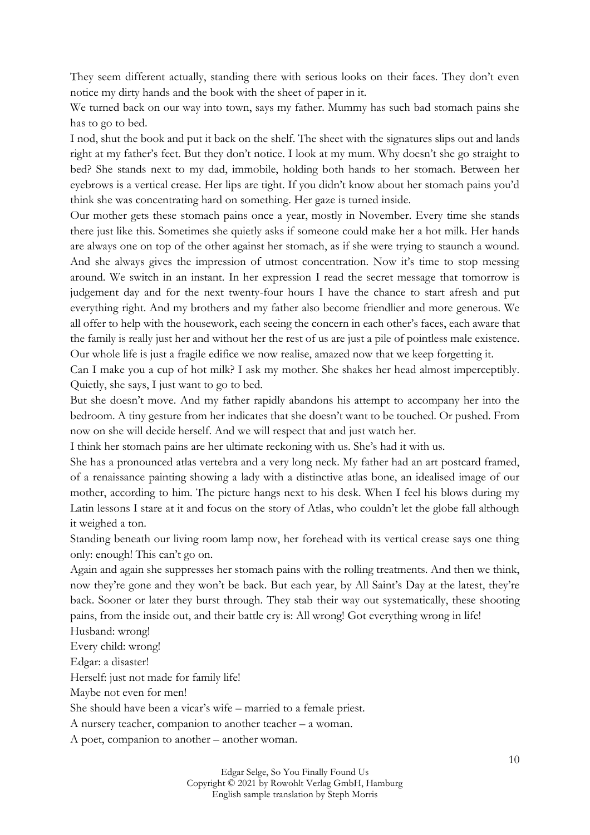They seem different actually, standing there with serious looks on their faces. They don't even notice my dirty hands and the book with the sheet of paper in it.

We turned back on our way into town, says my father. Mummy has such bad stomach pains she has to go to bed.

I nod, shut the book and put it back on the shelf. The sheet with the signatures slips out and lands right at my father's feet. But they don't notice. I look at my mum. Why doesn't she go straight to bed? She stands next to my dad, immobile, holding both hands to her stomach. Between her eyebrows is a vertical crease. Her lips are tight. If you didn't know about her stomach pains you'd think she was concentrating hard on something. Her gaze is turned inside.

Our mother gets these stomach pains once a year, mostly in November. Every time she stands there just like this. Sometimes she quietly asks if someone could make her a hot milk. Her hands are always one on top of the other against her stomach, as if she were trying to staunch a wound. And she always gives the impression of utmost concentration. Now it's time to stop messing around. We switch in an instant. In her expression I read the secret message that tomorrow is judgement day and for the next twenty-four hours I have the chance to start afresh and put everything right. And my brothers and my father also become friendlier and more generous. We all offer to help with the housework, each seeing the concern in each other's faces, each aware that the family is really just her and without her the rest of us are just a pile of pointless male existence. Our whole life is just a fragile edifice we now realise, amazed now that we keep forgetting it.

Can I make you a cup of hot milk? I ask my mother. She shakes her head almost imperceptibly. Quietly, she says, I just want to go to bed.

But she doesn't move. And my father rapidly abandons his attempt to accompany her into the bedroom. A tiny gesture from her indicates that she doesn't want to be touched. Or pushed. From now on she will decide herself. And we will respect that and just watch her.

I think her stomach pains are her ultimate reckoning with us. She's had it with us.

She has a pronounced atlas vertebra and a very long neck. My father had an art postcard framed, of a renaissance painting showing a lady with a distinctive atlas bone, an idealised image of our mother, according to him. The picture hangs next to his desk. When I feel his blows during my Latin lessons I stare at it and focus on the story of Atlas, who couldn't let the globe fall although it weighed a ton.

Standing beneath our living room lamp now, her forehead with its vertical crease says one thing only: enough! This can't go on.

Again and again she suppresses her stomach pains with the rolling treatments. And then we think, now they're gone and they won't be back. But each year, by All Saint's Day at the latest, they're back. Sooner or later they burst through. They stab their way out systematically, these shooting pains, from the inside out, and their battle cry is: All wrong! Got everything wrong in life!

Husband: wrong!

Every child: wrong!

Edgar: a disaster!

Herself: just not made for family life!

Maybe not even for men!

She should have been a vicar's wife – married to a female priest.

A nursery teacher, companion to another teacher – a woman.

A poet, companion to another – another woman.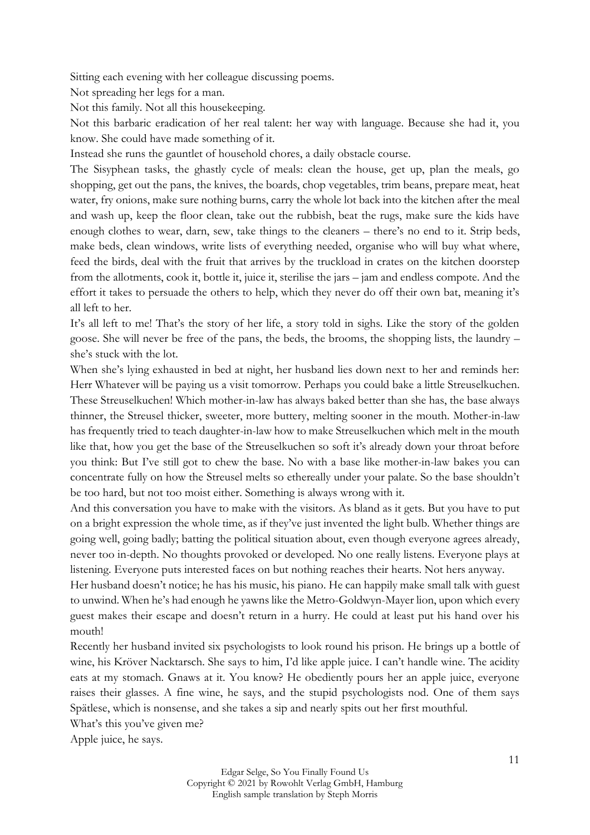Sitting each evening with her colleague discussing poems.

Not spreading her legs for a man.

Not this family. Not all this housekeeping.

Not this barbaric eradication of her real talent: her way with language. Because she had it, you know. She could have made something of it.

Instead she runs the gauntlet of household chores, a daily obstacle course.

The Sisyphean tasks, the ghastly cycle of meals: clean the house, get up, plan the meals, go shopping, get out the pans, the knives, the boards, chop vegetables, trim beans, prepare meat, heat water, fry onions, make sure nothing burns, carry the whole lot back into the kitchen after the meal and wash up, keep the floor clean, take out the rubbish, beat the rugs, make sure the kids have enough clothes to wear, darn, sew, take things to the cleaners – there's no end to it. Strip beds, make beds, clean windows, write lists of everything needed, organise who will buy what where, feed the birds, deal with the fruit that arrives by the truckload in crates on the kitchen doorstep from the allotments, cook it, bottle it, juice it, sterilise the jars – jam and endless compote. And the effort it takes to persuade the others to help, which they never do off their own bat, meaning it's all left to her.

It's all left to me! That's the story of her life, a story told in sighs. Like the story of the golden goose. She will never be free of the pans, the beds, the brooms, the shopping lists, the laundry – she's stuck with the lot.

When she's lying exhausted in bed at night, her husband lies down next to her and reminds her: Herr Whatever will be paying us a visit tomorrow. Perhaps you could bake a little Streuselkuchen. These Streuselkuchen! Which mother-in-law has always baked better than she has, the base always thinner, the Streusel thicker, sweeter, more buttery, melting sooner in the mouth. Mother-in-law has frequently tried to teach daughter-in-law how to make Streuselkuchen which melt in the mouth like that, how you get the base of the Streuselkuchen so soft it's already down your throat before you think: But I've still got to chew the base. No with a base like mother-in-law bakes you can concentrate fully on how the Streusel melts so ethereally under your palate. So the base shouldn't be too hard, but not too moist either. Something is always wrong with it.

And this conversation you have to make with the visitors. As bland as it gets. But you have to put on a bright expression the whole time, as if they've just invented the light bulb. Whether things are going well, going badly; batting the political situation about, even though everyone agrees already, never too in-depth. No thoughts provoked or developed. No one really listens. Everyone plays at listening. Everyone puts interested faces on but nothing reaches their hearts. Not hers anyway.

Her husband doesn't notice; he has his music, his piano. He can happily make small talk with guest to unwind. When he's had enough he yawns like the Metro-Goldwyn-Mayer lion, upon which every guest makes their escape and doesn't return in a hurry. He could at least put his hand over his mouth!

Recently her husband invited six psychologists to look round his prison. He brings up a bottle of wine, his Kröver Nacktarsch. She says to him, I'd like apple juice. I can't handle wine. The acidity eats at my stomach. Gnaws at it. You know? He obediently pours her an apple juice, everyone raises their glasses. A fine wine, he says, and the stupid psychologists nod. One of them says Spätlese, which is nonsense, and she takes a sip and nearly spits out her first mouthful.

What's this you've given me?

Apple juice, he says.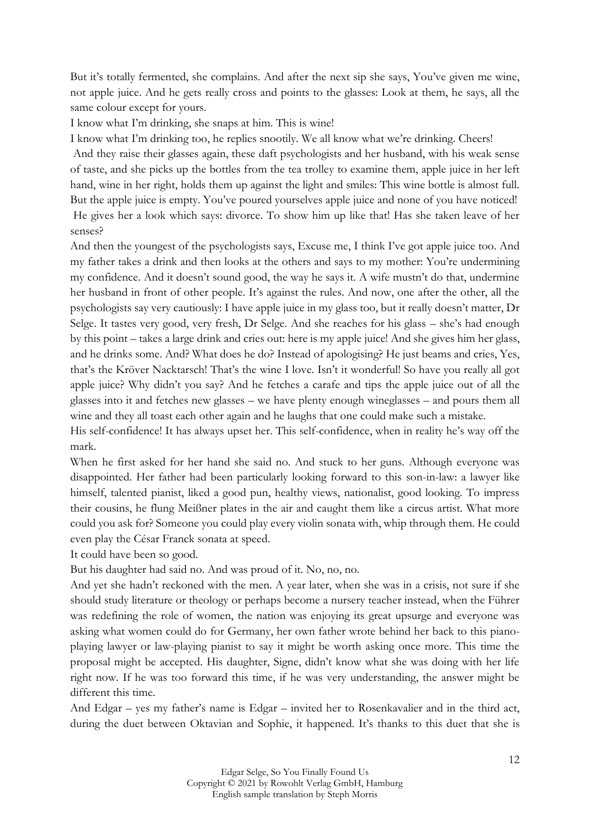But it's totally fermented, she complains. And after the next sip she says, You've given me wine, not apple juice. And he gets really cross and points to the glasses: Look at them, he says, all the same colour except for yours.

I know what I'm drinking, she snaps at him. This is wine!

I know what I'm drinking too, he replies snootily. We all know what we're drinking. Cheers!

And they raise their glasses again, these daft psychologists and her husband, with his weak sense of taste, and she picks up the bottles from the tea trolley to examine them, apple juice in her left hand, wine in her right, holds them up against the light and smiles: This wine bottle is almost full. But the apple juice is empty. You've poured yourselves apple juice and none of you have noticed! He gives her a look which says: divorce. To show him up like that! Has she taken leave of her senses?

And then the youngest of the psychologists says, Excuse me, I think I've got apple juice too. And my father takes a drink and then looks at the others and says to my mother: You're undermining my confidence. And it doesn't sound good, the way he says it. A wife mustn't do that, undermine her husband in front of other people. It's against the rules. And now, one after the other, all the psychologists say very cautiously: I have apple juice in my glass too, but it really doesn't matter, Dr Selge. It tastes very good, very fresh, Dr Selge. And she reaches for his glass – she's had enough by this point – takes a large drink and cries out: here is my apple juice! And she gives him her glass, and he drinks some. And? What does he do? Instead of apologising? He just beams and cries, Yes, that's the Kröver Nacktarsch! That's the wine I love. Isn't it wonderful! So have you really all got apple juice? Why didn't you say? And he fetches a carafe and tips the apple juice out of all the glasses into it and fetches new glasses – we have plenty enough wineglasses – and pours them all wine and they all toast each other again and he laughs that one could make such a mistake.

His self-confidence! It has always upset her. This self-confidence, when in reality he's way off the mark.

When he first asked for her hand she said no. And stuck to her guns. Although everyone was disappointed. Her father had been particularly looking forward to this son-in-law: a lawyer like himself, talented pianist, liked a good pun, healthy views, nationalist, good looking. To impress their cousins, he flung Meißner plates in the air and caught them like a circus artist. What more could you ask for? Someone you could play every violin sonata with, whip through them. He could even play the César Franck sonata at speed.

It could have been so good.

But his daughter had said no. And was proud of it. No, no, no.

And yet she hadn't reckoned with the men. A year later, when she was in a crisis, not sure if she should study literature or theology or perhaps become a nursery teacher instead, when the Führer was redefining the role of women, the nation was enjoying its great upsurge and everyone was asking what women could do for Germany, her own father wrote behind her back to this pianoplaying lawyer or law-playing pianist to say it might be worth asking once more. This time the proposal might be accepted. His daughter, Signe, didn't know what she was doing with her life right now. If he was too forward this time, if he was very understanding, the answer might be different this time.

And Edgar – yes my father's name is Edgar – invited her to Rosenkavalier and in the third act, during the duet between Oktavian and Sophie, it happened. It's thanks to this duet that she is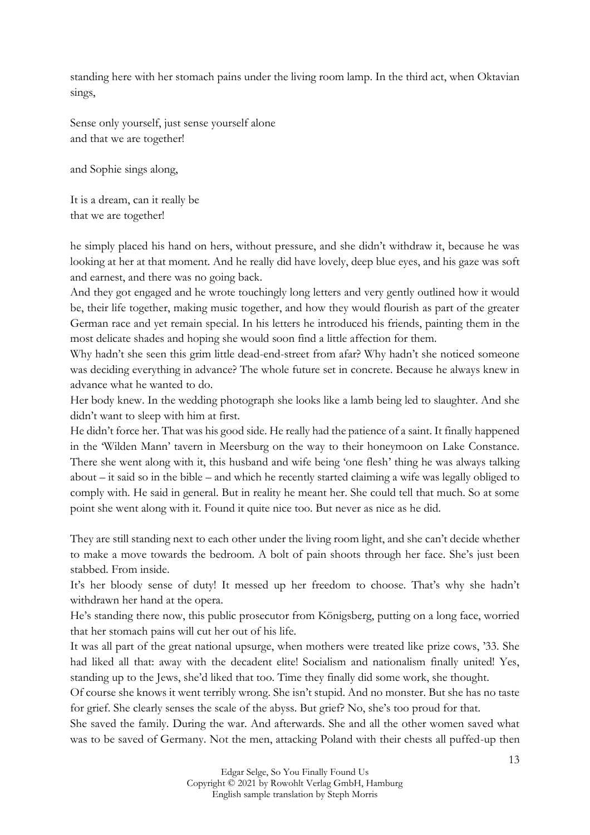standing here with her stomach pains under the living room lamp. In the third act, when Oktavian sings,

Sense only yourself, just sense yourself alone and that we are together!

and Sophie sings along,

It is a dream, can it really be that we are together!

he simply placed his hand on hers, without pressure, and she didn't withdraw it, because he was looking at her at that moment. And he really did have lovely, deep blue eyes, and his gaze was soft and earnest, and there was no going back.

And they got engaged and he wrote touchingly long letters and very gently outlined how it would be, their life together, making music together, and how they would flourish as part of the greater German race and yet remain special. In his letters he introduced his friends, painting them in the most delicate shades and hoping she would soon find a little affection for them.

Why hadn't she seen this grim little dead-end-street from afar? Why hadn't she noticed someone was deciding everything in advance? The whole future set in concrete. Because he always knew in advance what he wanted to do.

Her body knew. In the wedding photograph she looks like a lamb being led to slaughter. And she didn't want to sleep with him at first.

He didn't force her. That was his good side. He really had the patience of a saint. It finally happened in the 'Wilden Mann' tavern in Meersburg on the way to their honeymoon on Lake Constance. There she went along with it, this husband and wife being 'one flesh' thing he was always talking about – it said so in the bible – and which he recently started claiming a wife was legally obliged to comply with. He said in general. But in reality he meant her. She could tell that much. So at some point she went along with it. Found it quite nice too. But never as nice as he did.

They are still standing next to each other under the living room light, and she can't decide whether to make a move towards the bedroom. A bolt of pain shoots through her face. She's just been stabbed. From inside.

It's her bloody sense of duty! It messed up her freedom to choose. That's why she hadn't withdrawn her hand at the opera.

He's standing there now, this public prosecutor from Königsberg, putting on a long face, worried that her stomach pains will cut her out of his life.

It was all part of the great national upsurge, when mothers were treated like prize cows, '33. She had liked all that: away with the decadent elite! Socialism and nationalism finally united! Yes, standing up to the Jews, she'd liked that too. Time they finally did some work, she thought.

Of course she knows it went terribly wrong. She isn't stupid. And no monster. But she has no taste for grief. She clearly senses the scale of the abyss. But grief? No, she's too proud for that.

She saved the family. During the war. And afterwards. She and all the other women saved what was to be saved of Germany. Not the men, attacking Poland with their chests all puffed-up then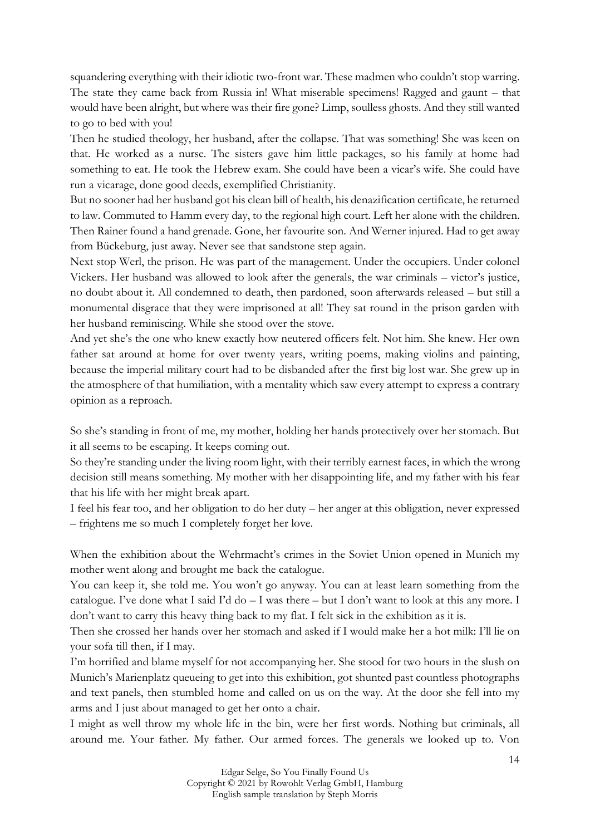squandering everything with their idiotic two-front war. These madmen who couldn't stop warring. The state they came back from Russia in! What miserable specimens! Ragged and gaunt – that would have been alright, but where was their fire gone? Limp, soulless ghosts. And they still wanted to go to bed with you!

Then he studied theology, her husband, after the collapse. That was something! She was keen on that. He worked as a nurse. The sisters gave him little packages, so his family at home had something to eat. He took the Hebrew exam. She could have been a vicar's wife. She could have run a vicarage, done good deeds, exemplified Christianity.

But no sooner had her husband got his clean bill of health, his denazification certificate, he returned to law. Commuted to Hamm every day, to the regional high court. Left her alone with the children. Then Rainer found a hand grenade. Gone, her favourite son. And Werner injured. Had to get away from Bückeburg, just away. Never see that sandstone step again.

Next stop Werl, the prison. He was part of the management. Under the occupiers. Under colonel Vickers. Her husband was allowed to look after the generals, the war criminals – victor's justice, no doubt about it. All condemned to death, then pardoned, soon afterwards released – but still a monumental disgrace that they were imprisoned at all! They sat round in the prison garden with her husband reminiscing. While she stood over the stove.

And yet she's the one who knew exactly how neutered officers felt. Not him. She knew. Her own father sat around at home for over twenty years, writing poems, making violins and painting, because the imperial military court had to be disbanded after the first big lost war. She grew up in the atmosphere of that humiliation, with a mentality which saw every attempt to express a contrary opinion as a reproach.

So she's standing in front of me, my mother, holding her hands protectively over her stomach. But it all seems to be escaping. It keeps coming out.

So they're standing under the living room light, with their terribly earnest faces, in which the wrong decision still means something. My mother with her disappointing life, and my father with his fear that his life with her might break apart.

I feel his fear too, and her obligation to do her duty – her anger at this obligation, never expressed – frightens me so much I completely forget her love.

When the exhibition about the Wehrmacht's crimes in the Soviet Union opened in Munich my mother went along and brought me back the catalogue.

You can keep it, she told me. You won't go anyway. You can at least learn something from the catalogue. I've done what I said I'd do – I was there – but I don't want to look at this any more. I don't want to carry this heavy thing back to my flat. I felt sick in the exhibition as it is.

Then she crossed her hands over her stomach and asked if I would make her a hot milk: I'll lie on your sofa till then, if I may.

I'm horrified and blame myself for not accompanying her. She stood for two hours in the slush on Munich's Marienplatz queueing to get into this exhibition, got shunted past countless photographs and text panels, then stumbled home and called on us on the way. At the door she fell into my arms and I just about managed to get her onto a chair.

I might as well throw my whole life in the bin, were her first words. Nothing but criminals, all around me. Your father. My father. Our armed forces. The generals we looked up to. Von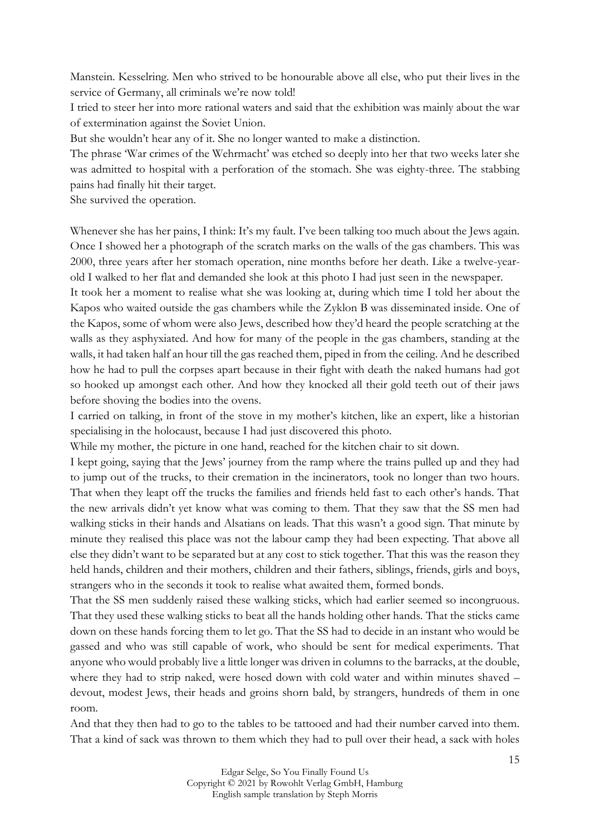Manstein. Kesselring. Men who strived to be honourable above all else, who put their lives in the service of Germany, all criminals we're now told!

I tried to steer her into more rational waters and said that the exhibition was mainly about the war of extermination against the Soviet Union.

But she wouldn't hear any of it. She no longer wanted to make a distinction.

The phrase 'War crimes of the Wehrmacht' was etched so deeply into her that two weeks later she was admitted to hospital with a perforation of the stomach. She was eighty-three. The stabbing pains had finally hit their target.

She survived the operation.

Whenever she has her pains, I think: It's my fault. I've been talking too much about the Jews again. Once I showed her a photograph of the scratch marks on the walls of the gas chambers. This was 2000, three years after her stomach operation, nine months before her death. Like a twelve-yearold I walked to her flat and demanded she look at this photo I had just seen in the newspaper.

It took her a moment to realise what she was looking at, during which time I told her about the Kapos who waited outside the gas chambers while the Zyklon B was disseminated inside. One of the Kapos, some of whom were also Jews, described how they'd heard the people scratching at the walls as they asphyxiated. And how for many of the people in the gas chambers, standing at the walls, it had taken half an hour till the gas reached them, piped in from the ceiling. And he described how he had to pull the corpses apart because in their fight with death the naked humans had got so hooked up amongst each other. And how they knocked all their gold teeth out of their jaws before shoving the bodies into the ovens.

I carried on talking, in front of the stove in my mother's kitchen, like an expert, like a historian specialising in the holocaust, because I had just discovered this photo.

While my mother, the picture in one hand, reached for the kitchen chair to sit down.

I kept going, saying that the Jews' journey from the ramp where the trains pulled up and they had to jump out of the trucks, to their cremation in the incinerators, took no longer than two hours. That when they leapt off the trucks the families and friends held fast to each other's hands. That the new arrivals didn't yet know what was coming to them. That they saw that the SS men had walking sticks in their hands and Alsatians on leads. That this wasn't a good sign. That minute by minute they realised this place was not the labour camp they had been expecting. That above all else they didn't want to be separated but at any cost to stick together. That this was the reason they held hands, children and their mothers, children and their fathers, siblings, friends, girls and boys, strangers who in the seconds it took to realise what awaited them, formed bonds.

That the SS men suddenly raised these walking sticks, which had earlier seemed so incongruous. That they used these walking sticks to beat all the hands holding other hands. That the sticks came down on these hands forcing them to let go. That the SS had to decide in an instant who would be gassed and who was still capable of work, who should be sent for medical experiments. That anyone who would probably live a little longer was driven in columns to the barracks, at the double, where they had to strip naked, were hosed down with cold water and within minutes shaved – devout, modest Jews, their heads and groins shorn bald, by strangers, hundreds of them in one room.

And that they then had to go to the tables to be tattooed and had their number carved into them. That a kind of sack was thrown to them which they had to pull over their head, a sack with holes